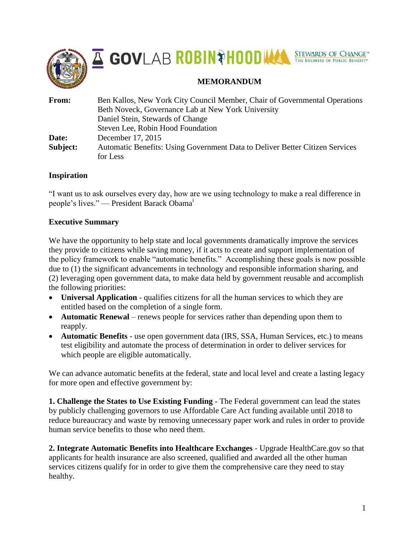





# **MEMORANDUM**

| From:    | Ben Kallos, New York City Council Member, Chair of Governmental Operations<br>Beth Noveck, Governance Lab at New York University |
|----------|----------------------------------------------------------------------------------------------------------------------------------|
|          | Daniel Stein, Stewards of Change                                                                                                 |
|          | Steven Lee, Robin Hood Foundation                                                                                                |
| Date:    | December 17, 2015                                                                                                                |
| Subject: | Automatic Benefits: Using Government Data to Deliver Better Citizen Services                                                     |
|          | for Less                                                                                                                         |

## **Inspiration**

"I want us to ask ourselves every day, how are we using technology to make a real difference in people's lives." — President Barack Obama<sup>i</sup>

## **Executive Summary**

We have the opportunity to help state and local governments dramatically improve the services they provide to citizens while saving money, if it acts to create and support implementation of the policy framework to enable "automatic benefits." Accomplishing these goals is now possible due to (1) the significant advancements in technology and responsible information sharing, and (2) leveraging open government data, to make data held by government reusable and accomplish the following priorities:

- **Universal Application** qualifies citizens for all the human services to which they are entitled based on the completion of a single form.
- **Automatic Renewal** renews people for services rather than depending upon them to reapply.
- **Automatic Benefits** use open government data (IRS, SSA, Human Services, etc.) to means test eligibility and automate the process of determination in order to deliver services for which people are eligible automatically.

We can advance automatic benefits at the federal, state and local level and create a lasting legacy for more open and effective government by:

**1. Challenge the States to Use Existing Funding** - The Federal government can lead the states by publicly challenging governors to use Affordable Care Act funding available until 2018 to reduce bureaucracy and waste by removing unnecessary paper work and rules in order to provide human service benefits to those who need them.

**2. Integrate Automatic Benefits into Healthcare Exchanges** - Upgrade HealthCare.gov so that applicants for health insurance are also screened, qualified and awarded all the other human services citizens qualify for in order to give them the comprehensive care they need to stay healthy.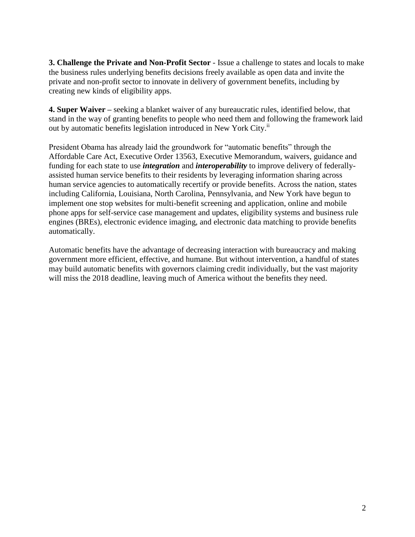**3. Challenge the Private and Non-Profit Sector** - Issue a challenge to states and locals to make the business rules underlying benefits decisions freely available as open data and invite the private and non-profit sector to innovate in delivery of government benefits, including by creating new kinds of eligibility apps.

**4. Super Waiver –** seeking a blanket waiver of any bureaucratic rules, identified below, that stand in the way of granting benefits to people who need them and following the framework laid out by automatic benefits legislation introduced in New York City.<sup>ii</sup>

President Obama has already laid the groundwork for "automatic benefits" through the Affordable Care Act, Executive Order 13563, Executive Memorandum, waivers, guidance and funding for each state to use *integration* and *interoperability* to improve delivery of federallyassisted human service benefits to their residents by leveraging information sharing across human service agencies to automatically recertify or provide benefits. Across the nation, states including California, Louisiana, North Carolina, Pennsylvania, and New York have begun to implement one stop websites for multi-benefit screening and application, online and mobile phone apps for self-service case management and updates, eligibility systems and business rule engines (BREs), electronic evidence imaging, and electronic data matching to provide benefits automatically.

Automatic benefits have the advantage of decreasing interaction with bureaucracy and making government more efficient, effective, and humane. But without intervention, a handful of states may build automatic benefits with governors claiming credit individually, but the vast majority will miss the 2018 deadline, leaving much of America without the benefits they need.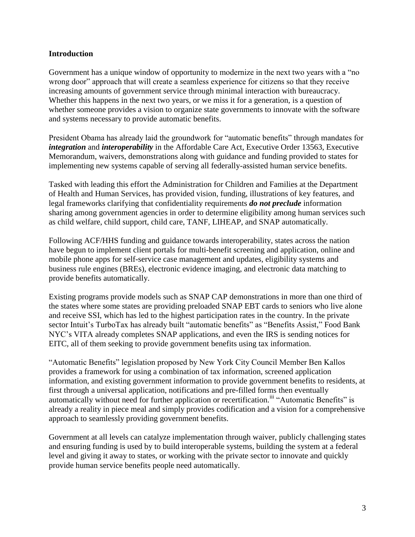## **Introduction**

Government has a unique window of opportunity to modernize in the next two years with a "no wrong door" approach that will create a seamless experience for citizens so that they receive increasing amounts of government service through minimal interaction with bureaucracy. Whether this happens in the next two years, or we miss it for a generation, is a question of whether someone provides a vision to organize state governments to innovate with the software and systems necessary to provide automatic benefits.

President Obama has already laid the groundwork for "automatic benefits" through mandates for *integration* and *interoperability* in the Affordable Care Act, Executive Order 13563, Executive Memorandum, waivers, demonstrations along with guidance and funding provided to states for implementing new systems capable of serving all federally-assisted human service benefits.

Tasked with leading this effort the Administration for Children and Families at the Department of Health and Human Services, has provided vision, funding, illustrations of key features, and legal frameworks clarifying that confidentiality requirements *do not preclude* information sharing among government agencies in order to determine eligibility among human services such as child welfare, child support, child care, TANF, LIHEAP, and SNAP automatically.

Following ACF/HHS funding and guidance towards interoperability, states across the nation have begun to implement client portals for multi-benefit screening and application, online and mobile phone apps for self-service case management and updates, eligibility systems and business rule engines (BREs), electronic evidence imaging, and electronic data matching to provide benefits automatically.

Existing programs provide models such as SNAP CAP demonstrations in more than one third of the states where some states are providing preloaded SNAP EBT cards to seniors who live alone and receive SSI, which has led to the highest participation rates in the country. In the private sector Intuit's TurboTax has already built "automatic benefits" as "Benefits Assist," Food Bank NYC's VITA already completes SNAP applications, and even the IRS is sending notices for EITC, all of them seeking to provide government benefits using tax information.

"Automatic Benefits" legislation proposed by New York City Council Member Ben Kallos provides a framework for using a combination of tax information, screened application information, and existing government information to provide government benefits to residents, at first through a universal application, notifications and pre-filled forms then eventually automatically without need for further application or recertification.<sup>iii</sup> "Automatic Benefits" is already a reality in piece meal and simply provides codification and a vision for a comprehensive approach to seamlessly providing government benefits.

Government at all levels can catalyze implementation through waiver, publicly challenging states and ensuring funding is used by to build interoperable systems, building the system at a federal level and giving it away to states, or working with the private sector to innovate and quickly provide human service benefits people need automatically.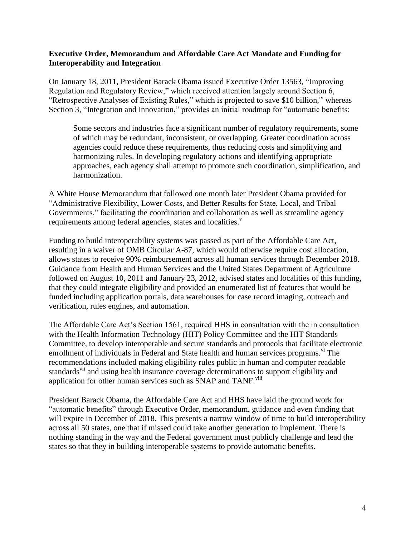## **Executive Order, Memorandum and Affordable Care Act Mandate and Funding for Interoperability and Integration**

On January 18, 2011, President Barack Obama issued Executive Order 13563, "Improving Regulation and Regulatory Review," which received attention largely around Section 6, "Retrospective Analyses of Existing Rules," which is projected to save \$10 billion, <sup>iv</sup> whereas Section 3, "Integration and Innovation," provides an initial roadmap for "automatic benefits:

Some sectors and industries face a significant number of regulatory requirements, some of which may be redundant, inconsistent, or overlapping. Greater coordination across agencies could reduce these requirements, thus reducing costs and simplifying and harmonizing rules. In developing regulatory actions and identifying appropriate approaches, each agency shall attempt to promote such coordination, simplification, and harmonization.

A White House Memorandum that followed one month later President Obama provided for "Administrative Flexibility, Lower Costs, and Better Results for State, Local, and Tribal Governments," facilitating the coordination and collaboration as well as streamline agency requirements among federal agencies, states and localities.<sup>v</sup>

Funding to build interoperability systems was passed as part of the Affordable Care Act, resulting in a waiver of OMB Circular A-87, which would otherwise require cost allocation, allows states to receive 90% reimbursement across all human services through December 2018. Guidance from Health and Human Services and the United States Department of Agriculture followed on August 10, 2011 and January 23, 2012, advised states and localities of this funding, that they could integrate eligibility and provided an enumerated list of features that would be funded including application portals, data warehouses for case record imaging, outreach and verification, rules engines, and automation.

The Affordable Care Act's Section 1561, required HHS in consultation with the in consultation with the Health Information Technology (HIT) Policy Committee and the HIT Standards Committee, to develop interoperable and secure standards and protocols that facilitate electronic enrollment of individuals in Federal and State health and human services programs. <sup>vi</sup> The recommendations included making eligibility rules public in human and computer readable standards<sup>vii</sup> and using health insurance coverage determinations to support eligibility and application for other human services such as SNAP and TANF.<sup>viii</sup>

President Barack Obama, the Affordable Care Act and HHS have laid the ground work for "automatic benefits" through Executive Order, memorandum, guidance and even funding that will expire in December of 2018. This presents a narrow window of time to build interoperability across all 50 states, one that if missed could take another generation to implement. There is nothing standing in the way and the Federal government must publicly challenge and lead the states so that they in building interoperable systems to provide automatic benefits.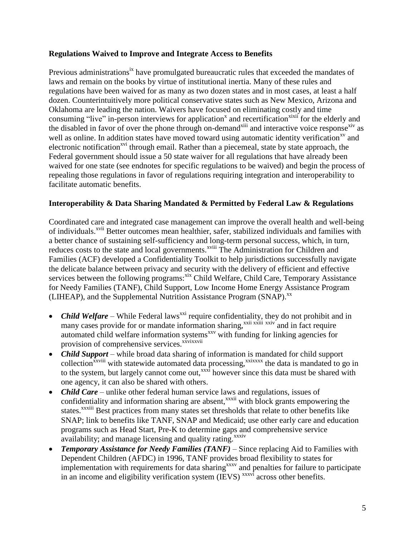## **Regulations Waived to Improve and Integrate Access to Benefits**

Previous administrations<sup>ix</sup> have promulgated bureaucratic rules that exceeded the mandates of laws and remain on the books by virtue of institutional inertia. Many of these rules and regulations have been waived for as many as two dozen states and in most cases, at least a half dozen. Counterintuitively more political conservative states such as New Mexico, Arizona and Oklahoma are leading the nation. Waivers have focused on eliminating costly and time consuming "live" in-person interviews for application<sup>x</sup> and recertification<sup>xixii</sup> for the elderly and the disabled in favor of over the phone through on-demand<sup>xiii</sup> and interactive voice response<sup>xiv</sup> as well as online. In addition states have moved toward using automatic identity verification<sup>xv</sup> and electronic notification<sup>xvi</sup> through email. Rather than a piecemeal, state by state approach, the Federal government should issue a 50 state waiver for all regulations that have already been waived for one state (see endnotes for specific regulations to be waived) and begin the process of repealing those regulations in favor of regulations requiring integration and interoperability to facilitate automatic benefits.

## **Interoperability & Data Sharing Mandated & Permitted by Federal Law & Regulations**

Coordinated care and integrated case management can improve the overall health and well-being of individuals.<sup>xvii</sup> Better outcomes mean healthier, safer, stabilized individuals and families with a better chance of sustaining self-sufficiency and long-term personal success, which, in turn, reduces costs to the state and local governments.<sup>xviii</sup> The Administration for Children and Families (ACF) developed a Confidentiality Toolkit to help jurisdictions successfully navigate the delicate balance between privacy and security with the delivery of efficient and effective services between the following programs:<sup>xix</sup> Child Welfare, Child Care, Temporary Assistance for Needy Families (TANF), Child Support, Low Income Home Energy Assistance Program (LIHEAP), and the Supplemental Nutrition Assistance Program (SNAP).<sup>xx</sup>

- *Child Welfare* While Federal laws<sup>xxi</sup> require confidentiality, they do not prohibit and in many cases provide for or mandate information sharing,<sup>xxii xxiii</sup> xxiv and in fact require automated child welfare information systems<sup>xxv</sup> with funding for linking agencies for provision of comprehensive services.<sup>xxvixxvii</sup>
- *Child Support* while broad data sharing of information is mandated for child support collection<sup>xxviii</sup> with statewide automated data processing,<sup>xxixxxx</sup> the data is mandated to go in to the system, but largely cannot come out,  $\frac{1}{x}$  however since this data must be shared with one agency, it can also be shared with others.
- *Child Care* unlike other federal human service laws and regulations, issues of confidentiality and information sharing are absent,<sup>xxxii</sup> with block grants empowering the states.<sup>xxxiii</sup> Best practices from many states set thresholds that relate to other benefits like SNAP; link to benefits like TANF, SNAP and Medicaid; use other early care and education programs such as Head Start, Pre-K to determine gaps and comprehensive service availability; and manage licensing and quality rating.<sup>xxxiv</sup>
- *Temporary Assistance for Needy Families (TANF)* Since replacing Aid to Families with Dependent Children (AFDC) in 1996, TANF provides broad flexibility to states for implementation with requirements for data sharing<sup>xxxv</sup> and penalties for failure to participate in an income and eligibility verification system  $(IEVS)$ <sup>xxxvi</sup> across other benefits.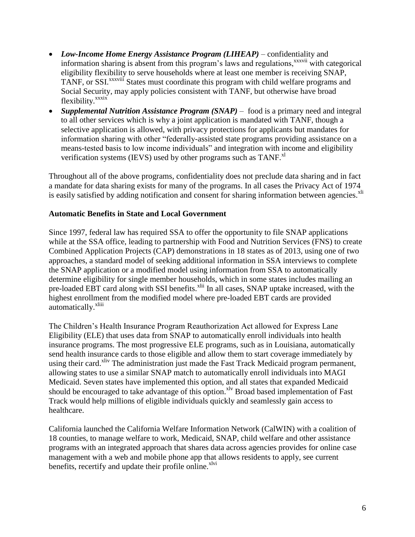- *Low-Income Home Energy Assistance Program (LIHEAP)* confidentiality and information sharing is absent from this program's laws and regulations,<sup>xxxvii</sup> with categorical eligibility flexibility to serve households where at least one member is receiving SNAP, TANF, or SSI.<sup>xxxviii</sup> States must coordinate this program with child welfare programs and Social Security, may apply policies consistent with TANF, but otherwise have broad flexibility.<sup>xxxix</sup>
- *Supplemental Nutrition Assistance Program (SNAP)* food is a primary need and integral to all other services which is why a joint application is mandated with TANF, though a selective application is allowed, with privacy protections for applicants but mandates for information sharing with other "federally-assisted state programs providing assistance on a means-tested basis to low income individuals" and integration with income and eligibility verification systems (IEVS) used by other programs such as  $TANF$ <sup> $x$ l</sup>

Throughout all of the above programs, confidentiality does not preclude data sharing and in fact a mandate for data sharing exists for many of the programs. In all cases the Privacy Act of 1974 is easily satisfied by adding notification and consent for sharing information between agencies.<sup>xli</sup>

## **Automatic Benefits in State and Local Government**

Since 1997, federal law has required SSA to offer the opportunity to file SNAP applications while at the SSA office, leading to partnership with Food and Nutrition Services (FNS) to create Combined Application Projects (CAP) demonstrations in 18 states as of 2013, using one of two approaches, a standard model of seeking additional information in SSA interviews to complete the SNAP application or a modified model using information from SSA to automatically determine eligibility for single member households, which in some states includes mailing an pre-loaded EBT card along with SSI benefits.<sup>xlii</sup> In all cases, SNAP uptake increased, with the highest enrollment from the modified model where pre-loaded EBT cards are provided automatically.<sup>xliii</sup>

The Children's Health Insurance Program Reauthorization Act allowed for Express Lane Eligibility (ELE) that uses data from SNAP to automatically enroll individuals into health insurance programs. The most progressive ELE programs, such as in Louisiana, automatically send health insurance cards to those eligible and allow them to start coverage immediately by using their card.<sup>xliv</sup> The administration just made the Fast Track Medicaid program permanent, allowing states to use a similar SNAP match to automatically enroll individuals into MAGI Medicaid. Seven states have implemented this option, and all states that expanded Medicaid should be encouraged to take advantage of this option.<sup>xlv</sup> Broad based implementation of Fast Track would help millions of eligible individuals quickly and seamlessly gain access to healthcare.

California launched the California Welfare Information Network (CalWIN) with a coalition of 18 counties, to manage welfare to work, Medicaid, SNAP, child welfare and other assistance programs with an integrated approach that shares data across agencies provides for online case management with a web and mobile phone app that allows residents to apply, see current benefits, recertify and update their profile online.<sup>xlvi</sup>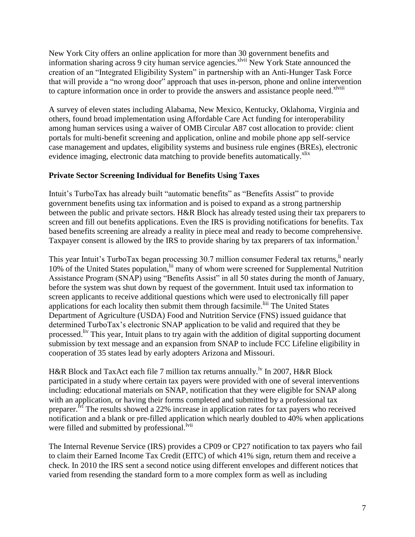New York City offers an online application for more than 30 government benefits and information sharing across 9 city human service agencies.<sup>xlvii</sup> New York State announced the creation of an "Integrated Eligibility System" in partnership with an Anti-Hunger Task Force that will provide a "no wrong door" approach that uses in-person, phone and online intervention to capture information once in order to provide the answers and assistance people need.<sup>xlviii</sup>

A survey of eleven states including Alabama, New Mexico, Kentucky, Oklahoma, Virginia and others, found broad implementation using Affordable Care Act funding for interoperability among human services using a waiver of OMB Circular A87 cost allocation to provide: client portals for multi-benefit screening and application, online and mobile phone app self-service case management and updates, eligibility systems and business rule engines (BREs), electronic evidence imaging, electronic data matching to provide benefits automatically.<sup>xlix</sup>

## **Private Sector Screening Individual for Benefits Using Taxes**

Intuit's TurboTax has already built "automatic benefits" as "Benefits Assist" to provide government benefits using tax information and is poised to expand as a strong partnership between the public and private sectors. H&R Block has already tested using their tax preparers to screen and fill out benefits applications. Even the IRS is providing notifications for benefits. Tax based benefits screening are already a reality in piece meal and ready to become comprehensive. Taxpayer consent is allowed by the IRS to provide sharing by tax preparers of tax information.<sup>1</sup>

This year Intuit's TurboTax began processing 30.7 million consumer Federal tax returns, <sup>ii</sup> nearly 10% of the United States population, <sup>lii</sup> many of whom were screened for Supplemental Nutrition Assistance Program (SNAP) using "Benefits Assist" in all 50 states during the month of January, before the system was shut down by request of the government. Intuit used tax information to screen applicants to receive additional questions which were used to electronically fill paper applications for each locality then submit them through facsimile.<sup>liii</sup> The United States Department of Agriculture (USDA) Food and Nutrition Service (FNS) issued guidance that determined TurboTax's electronic SNAP application to be valid and required that they be processed. <sup>liv</sup> This year, Intuit plans to try again with the addition of digital supporting document submission by text message and an expansion from SNAP to include FCC Lifeline eligibility in cooperation of 35 states lead by early adopters Arizona and Missouri.

H&R Block and TaxAct each file 7 million tax returns annually.<sup>1v</sup> In 2007, H&R Block participated in a study where certain tax payers were provided with one of several interventions including: educational materials on SNAP, notification that they were eligible for SNAP along with an application, or having their forms completed and submitted by a professional tax preparer.<sup>Ivi</sup> The results showed a 22% increase in application rates for tax payers who received notification and a blank or pre-filled application which nearly doubled to 40% when applications were filled and submitted by professional.<sup>Ivii</sup>

The Internal Revenue Service (IRS) provides a CP09 or CP27 notification to tax payers who fail to claim their Earned Income Tax Credit (EITC) of which 41% sign, return them and receive a check. In 2010 the IRS sent a second notice using different envelopes and different notices that varied from resending the standard form to a more complex form as well as including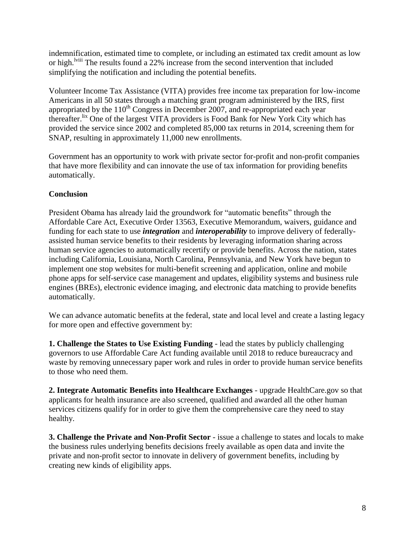indemnification, estimated time to complete, or including an estimated tax credit amount as low or high.<sup>lviii</sup> The results found a 22% increase from the second intervention that included simplifying the notification and including the potential benefits.

Volunteer Income Tax Assistance (VITA) provides free income tax preparation for low-income Americans in all 50 states through a matching grant program administered by the IRS, first appropriated by the  $110^{th}$  Congress in December 2007, and re-appropriated each year thereafter.lix One of the largest VITA providers is Food Bank for New York City which has provided the service since 2002 and completed 85,000 tax returns in 2014, screening them for SNAP, resulting in approximately 11,000 new enrollments.

Government has an opportunity to work with private sector for-profit and non-profit companies that have more flexibility and can innovate the use of tax information for providing benefits automatically.

# **Conclusion**

President Obama has already laid the groundwork for "automatic benefits" through the Affordable Care Act, Executive Order 13563, Executive Memorandum, waivers, guidance and funding for each state to use *integration* and *interoperability* to improve delivery of federallyassisted human service benefits to their residents by leveraging information sharing across human service agencies to automatically recertify or provide benefits. Across the nation, states including California, Louisiana, North Carolina, Pennsylvania, and New York have begun to implement one stop websites for multi-benefit screening and application, online and mobile phone apps for self-service case management and updates, eligibility systems and business rule engines (BREs), electronic evidence imaging, and electronic data matching to provide benefits automatically.

We can advance automatic benefits at the federal, state and local level and create a lasting legacy for more open and effective government by:

**1. Challenge the States to Use Existing Funding** - lead the states by publicly challenging governors to use Affordable Care Act funding available until 2018 to reduce bureaucracy and waste by removing unnecessary paper work and rules in order to provide human service benefits to those who need them.

**2. Integrate Automatic Benefits into Healthcare Exchanges** - upgrade HealthCare.gov so that applicants for health insurance are also screened, qualified and awarded all the other human services citizens qualify for in order to give them the comprehensive care they need to stay healthy.

**3. Challenge the Private and Non-Profit Sector** - issue a challenge to states and locals to make the business rules underlying benefits decisions freely available as open data and invite the private and non-profit sector to innovate in delivery of government benefits, including by creating new kinds of eligibility apps.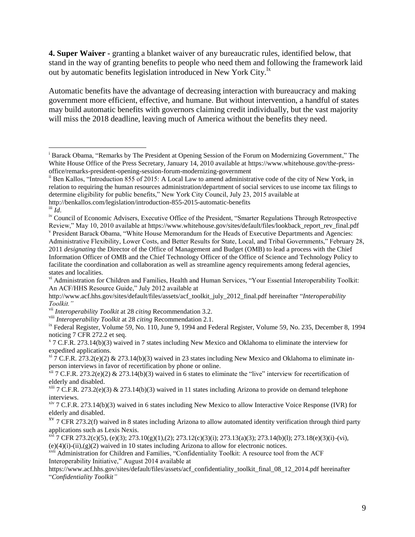**4. Super Waiver -** granting a blanket waiver of any bureaucratic rules, identified below, that stand in the way of granting benefits to people who need them and following the framework laid out by automatic benefits legislation introduced in New York City.<sup>1x</sup>

Automatic benefits have the advantage of decreasing interaction with bureaucracy and making government more efficient, effective, and humane. But without intervention, a handful of states may build automatic benefits with governors claiming credit individually, but the vast majority will miss the 2018 deadline, leaving much of America without the benefits they need.

 $\overline{a}$ 

viii *Interoperability Toolkit* at 28 *citing* Recommendation 2.1.

ix Federal Register, Volume 59, No. 110, June 9, 1994 and Federal Register, Volume 59, No. 235, December 8, 1994 noticing 7 CFR 272.2 et seq.

<sup>x</sup> 7 C.F.R. 273.14(b)(3) waived in 7 states including New Mexico and Oklahoma to eliminate the interview for expedited applications.

 $x_i$  7 C.F.R. 273.2(e)(2) & 273.14(b)(3) waived in 23 states including New Mexico and Oklahoma to eliminate inperson interviews in favor of recertification by phone or online.

 $\frac{x}{y}$  7 C.F.R. 273.14(b)(3) waived in 6 states including New Mexico to allow Interactive Voice Response (IVR) for elderly and disabled.

<sup>&</sup>lt;sup>i</sup> Barack Obama, "Remarks by The President at Opening Session of the Forum on Modernizing Government," The White House Office of the Press Secretary, January 14, 2010 available at https://www.whitehouse.gov/the-pressoffice/remarks-president-opening-session-forum-modernizing-government

ii Ben Kallos, "Introduction 855 of 2015: A Local Law to amend administrative code of the city of New York, in relation to requiring the human resources administration/department of social services to use income tax filings to determine eligibility for public benefits," New York City Council, July 23, 2015 available at http://benkallos.com/legislation/introduction-855-2015-automatic-benefits

 $\overline{u}$ *Id.* 

iv Council of Economic Advisers, Executive Office of the President, "Smarter Regulations Through Retrospective Review," May 10, 2010 available at https://www.whitehouse.gov/sites/default/files/lookback\_report\_rev\_final.pdf

v President Barack Obama, "White House Memorandum for the Heads of Executive Departments and Agencies: Administrative Flexibility, Lower Costs, and Better Results for State, Local, and Tribal Governments," February 28, 2011 *designating* the Director of the Office of Management and Budget (OMB) to lead a process with the Chief Information Officer of OMB and the Chief Technology Officer of the Office of Science and Technology Policy to facilitate the coordination and collaboration as well as streamline agency requirements among federal agencies, states and localities.

vi Administration for Children and Families, Health and Human Services, "Your Essential Interoperability Toolkit: An ACF/HHS Resource Guide," July 2012 available at

http://www.acf.hhs.gov/sites/default/files/assets/acf\_toolkit\_july\_2012\_final.pdf hereinafter "*Interoperability Toolkit."*

vii *Interoperability Toolkit* at 28 *citing* Recommendation 3.2.

 $\frac{\dot{x}}{x}$  7 C.F.R. 273.2(e)(2) & 273.14(b)(3) waived in 6 states to eliminate the "live" interview for recertification of elderly and disabled.

 $x^{iii}$  7 C.F.R. 273.2(e)(3) & 273.14(b)(3) waived in 11 states including Arizona to provide on demand telephone interviews.

 $xv$  7 CFR 273.2(f) waived in 8 states including Arizona to allow automated identity verification through third party applications such as Lexis Nexis.

 $x^{\pi i}$  7 CFR 273.2(c)(5), (e)(3); 273.10(g)(1),(2); 273.12(c)(3)(i); 273.13(a)(3); 273.14(b)(l); 273.18(e)(3)(i)-(vi),  $(e)(4)(i)-(ii),(g)(2)$  waived in 10 states including Arizona to allow for electronic notices.

xvii Administration for Children and Families, "Confidentiality Toolkit: A resource tool from the ACF Interoperability Initiative," August 2014 available at

https://www.acf.hhs.gov/sites/default/files/assets/acf\_confidentiality\_toolkit\_final\_08\_12\_2014.pdf hereinafter "*Confidentiality Toolkit"*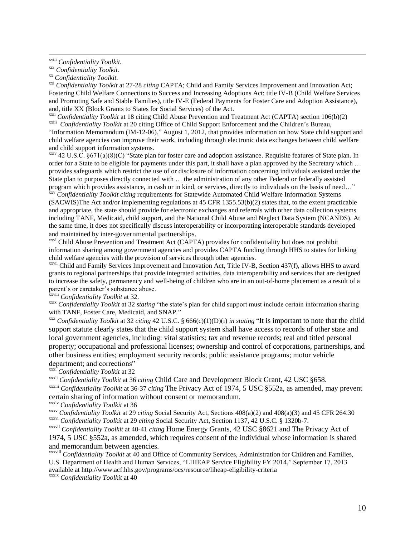$\overline{a}$ 

xxi *Confidentiality Toolkit* at 27-28 *citing* CAPTA; Child and Family Services Improvement and Innovation Act; Fostering Child Welfare Connections to Success and Increasing Adoptions Act; title IV-B (Child Welfare Services and Promoting Safe and Stable Families), title IV-E (Federal Payments for Foster Care and Adoption Assistance), and, title XX (Block Grants to States for Social Services) of the Act.

<sup>xxii</sup> *Confidentiality Toolkit* at 18 citing Child Abuse Prevention and Treatment Act (CAPTA) section 106(b)(2) <sup>xxiii</sup> *Confidentiality Toolkit* at 20 citing Office of Child Support Enforcement and the Children's Bureau,

"Information Memorandum (IM-12-06)," August 1, 2012, that provides information on how State child support and child welfare agencies can improve their work, including through electronic data exchanges between child welfare and child support information systems.

 $xxiv$  42 U.S.C. §671(a)(8)(C) "State plan for foster care and adoption assistance. Requisite features of State plan. In order for a State to be eligible for payments under this part, it shall have a plan approved by the Secretary which … provides safeguards which restrict the use of or disclosure of information concerning individuals assisted under the State plan to purposes directly connected with … the administration of any other Federal or federally assisted program which provides assistance, in cash or in kind, or services, directly to individuals on the basis of need…"

xxv *Confidentiality Toolkit citing* requirements for Statewide Automated Child Welfare Information Systems (SACWIS)The Act and/or implementing regulations at 45 CFR 1355.53(b)(2) states that, to the extent practicable and appropriate, the state should provide for electronic exchanges and referrals with other data collection systems including TANF, Medicaid, child support, and the National Child Abuse and Neglect Data System (NCANDS). At the same time, it does not specifically discuss interoperability or incorporating interoperable standards developed and maintained by inter-governmental partnerships.

xxvi Child Abuse Prevention and Treatment Act (CAPTA) provides for confidentiality but does not prohibit information sharing among government agencies and provides CAPTA funding through HHS to states for linking child welfare agencies with the provision of services through other agencies.

xxvii Child and Family Services Improvement and Innovation Act, Title IV-B, Section 437(f), allows HHS to award grants to regional partnerships that provide integrated activities, data interoperability and services that are designed to increase the safety, permanency and well-being of children who are in an out-of-home placement as a result of a parent's or caretaker's substance abuse.

xxviii *Confidentiality Toolkit* at 32.

xxix *Confidentiality Toolkit* at 32 *stating* "the state's plan for child support must include certain information sharing with TANF, Foster Care, Medicaid, and SNAP."

xxx *Confidentiality Toolkit* at 32 *citing* 42 U.S.C. § 666(c)(1)(D)(i) *in stating* "It is important to note that the child support statute clearly states that the child support system shall have access to records of other state and local government agencies, including: vital statistics; tax and revenue records; real and titled personal property; occupational and professional licenses; ownership and control of corporations, partnerships, and other business entities; employment security records; public assistance programs; motor vehicle department; and corrections"

xxxi *Confidentiality Toolkit* at 32

xxxii *Confidentiality Toolkit* at 36 *citing* Child Care and Development Block Grant, 42 USC §658.

xxxiii *Confidentiality Toolkit* at 36-37 *citing* The Privacy Act of 1974, 5 USC §552a, as amended, may prevent certain sharing of information without consent or memorandum.

xxxiv *Confidentiality Toolkit* at 36

xxxv *Confidentiality Toolkit* at 29 *citing* Social Security Act, Sections 408(a)(2) and 408(a)(3) and 45 CFR 264.30 xxxvi *Confidentiality Toolkit* at 29 *citing* Social Security Act, Section 1137, 42 U.S.C. § 1320b-7.

xxxvii *Confidentiality Toolkit* at 40-41 *citing* Home Energy Grants, 42 USC §8621 and The Privacy Act of 1974, 5 USC §552a, as amended, which requires consent of the individual whose information is shared and memorandum between agencies.

xxxviii *Confidentiality Toolkit* at 40 and Office of Community Services, Administration for Children and Families, U.S. Department of Health and Human Services, "LIHEAP Service Eligibility FY 2014," September 17, 2013 available at http://www.acf.hhs.gov/programs/ocs/resource/liheap-eligibility-criteria

xxxix *Confidentiality Toolkit* at 40

xviii *Confidentiality Toolkit.*

xix *Confidentiality Toolkit.*

xx *Confidentiality Toolkit.*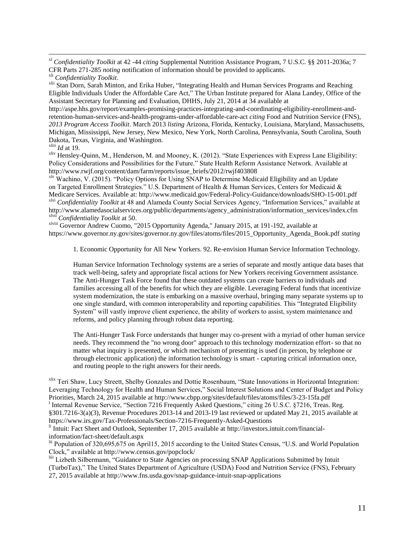xl *Confidentiality Toolkit* at 42 -44 *citing* Supplemental Nutrition Assistance Program, 7 U.S.C. §§ 2011-2036a; 7 CFR Parts 271-285 *noting* notification of information should be provided to applicants.

<sup>xlii</sup> Stan Dorn, Sarah Minton, and Erika Huber, "Integrating Health and Human Services Programs and Reaching Eligible Individuals Under the Affordable Care Act," The Urban Institute prepared for Alana Landey, Office of the Assistant Secretary for Planning and Evaluation, DHHS, July 21, 2014 at 34 available at

http://aspe.hhs.gov/report/examples-promising-practices-integrating-and-coordinating-eligibility-enrollment-andretention-human-services-and-health-programs-under-affordable-care-act *citing* Food and Nutrition Service (FNS), *2013 Program Access Toolkit*. March 2013 *listing* Arizona, Florida, Kentucky, Louisiana, Maryland, Massachusetts, Michigan, Mississippi, New Jersey, New Mexico, New York, North Carolina, Pennsylvania, South Carolina, South Dakota, Texas, Virginia, and Washington.

xliii *Id* at 19.

 $\overline{a}$ 

xliv Hensley-Quinn, M., Henderson, M. and Mooney, K. (2012). "State Experiences with Express Lane Eligibility: Policy Considerations and Possibilities for the Future." State Health Reform Assistance Network. Available at http://www.rwjf.org/content/dam/farm/reports/issue\_briefs/2012/rwjf403808

<sup>xlv</sup> Wachino, V. (2015). "Policy Options for Using SNAP to Determine Medicaid Eligibility and an Update on Targeted Enrollment Strategies." U.S. Department of Health & Human Services, Centers for Medicaid & Medicare Services. Available at: http://www.medicaid.gov/Federal-Policy-Guidance/downloads/SHO-15-001.pdf xlvi *Confidentiality Toolkit* at 48 and Alameda County Social Services Agency, "Information Services," available at

http://www.alamedasocialservices.org/public/departments/agency\_administration/information\_services/index.cfm xlvii *Confidentiality Toolkit* at 50.

xlviii Governor Andrew Cuomo, "2015 Opportunity Agenda," January 2015, at 191-192, available at https://www.governor.ny.gov/sites/governor.ny.gov/files/atoms/files/2015\_Opportunity\_Agenda\_Book.pdf *stating*

1. Economic Opportunity for All New Yorkers. 92. Re-envision Human Service Information Technology.

Human Service Information Technology systems are a series of separate and mostly antique data bases that track well-being, safety and appropriate fiscal actions for New Yorkers receiving Government assistance. The Anti-Hunger Task Force found that these outdated systems can create barriers to individuals and families accessing all of the benefits for which they are eligible. Leveraging Federal funds that incentivize system modernization, the state is embarking on a massive overhaul, bringing many separate systems up to one single standard, with common interoperability and reporting capabilities. This "Integrated Eligibility System" will vastly improve client experience, the ability of workers to assist, system maintenance and reforms, and policy planning through robust data reporting.

The Anti-Hunger Task Force understands that hunger may co-present with a myriad of other human service needs. They recommend the "no wrong door" approach to this technology modernization effort- so that no matter what inquiry is presented, or which mechanism of presenting is used (in person, by telephone or through electronic application) the information technology is smart - capturing critical information once, and routing people to the right answers for their needs.

xlix Teri Shaw, Lucy Streett, Shelby Gonzales and Dottie Rosenbaum, "State Innovations in Horizontal Integration: Leveraging Technology for Health and Human Services," Social Interest Solutions and Center of Budget and Policy Priorities, March 24, 2015 available at http://www.cbpp.org/sites/default/files/atoms/files/3-23-15fa.pdf <sup>1</sup> Internal Revenue Service, "Section 7216 Frequently Asked Questions," citing 26 U.S.C. §7216, Treas. Reg. §301.7216-3(a)(3), Revenue Procedures 2013-14 and 2013-19 last reviewed or updated May 21, 2015 available at https://www.irs.gov/Tax-Professionals/Section-7216-Frequently-Asked-Questions

li Intuit: Fact Sheet and Outlook, September 17, 2015 available at http://investors.intuit.com/financialinformation/fact-sheet/default.aspx

lii Population of 320,695,675 on April15, 2015 according to the United States Census, "U.S. and World Population Clock," available at http://www.census.gov/popclock/

liii Lizbeth Silbermann, "Guidance to State Agencies on processing SNAP Applications Submitted by Intuit (TurboTax)," The United States Department of Agriculture (USDA) Food and Nutrition Service (FNS), February 27, 2015 available at http://www.fns.usda.gov/snap-guidance-intuit-snap-applications

xli *Confidentiality Toolkit*.